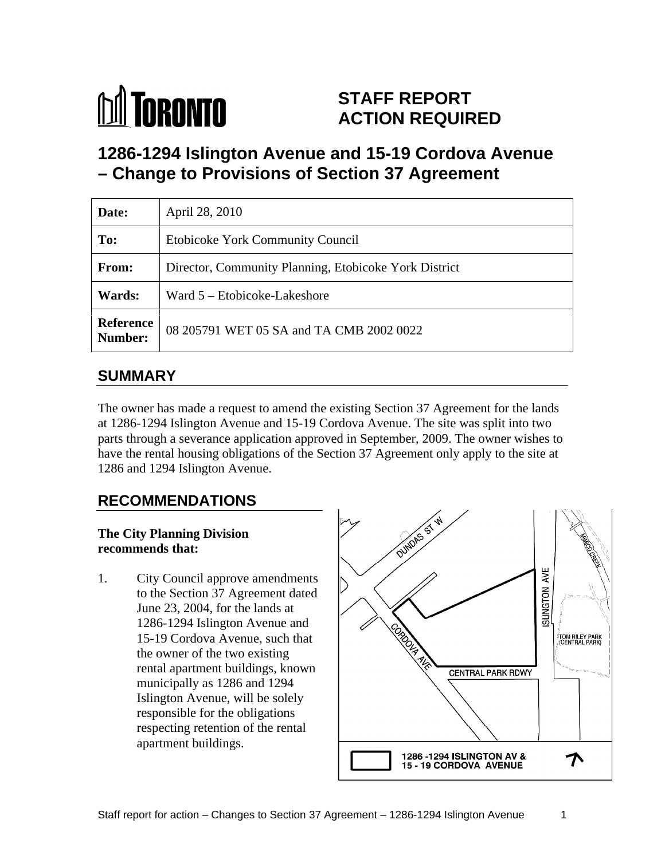

# **STAFF REPORT ACTION REQUIRED**

**1286-1294 Islington Avenue and 15-19 Cordova Avenue – Change to Provisions of Section 37 Agreement**

| Date:         | April 28, 2010                                        |
|---------------|-------------------------------------------------------|
| To:           | Etobicoke York Community Council                      |
| From:         | Director, Community Planning, Etobicoke York District |
| <b>Wards:</b> | Ward 5 – Etobicoke-Lakeshore                          |
|               | Reference 08 205791 WET 05 SA and TA CMB 2002 0022    |

# **SUMMARY**

The owner has made a request to amend the existing Section 37 Agreement for the lands at 1286-1294 Islington Avenue and 15-19 Cordova Avenue. The site was split into two parts through a severance application approved in September, 2009. The owner wishes to have the rental housing obligations of the Section 37 Agreement only apply to the site at 1286 and 1294 Islington Avenue.

# **The City Planning Division**

to the Section 37 Agreement dated June 23, 2004, for the lands at 1286-1294 Islington Avenue and the owner of the two existing municipally as 1286 and 1294 Islington Avenue, will be solely responsible for the obligations respecting retention of the rental apartment buildings.

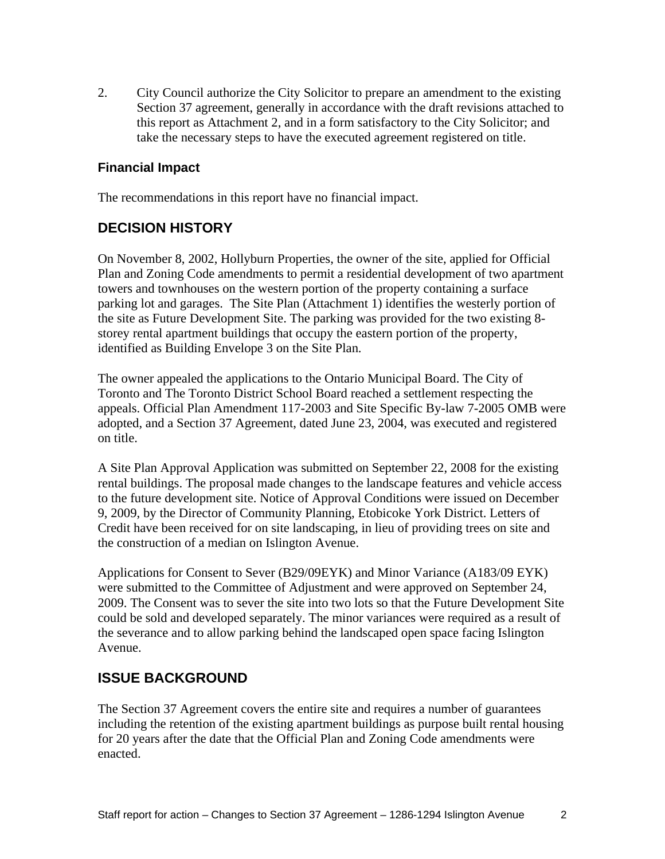2. City Council authorize the City Solicitor to prepare an amendment to the existing Section 37 agreement, generally in accordance with the draft revisions attached to this report as Attachment 2, and in a form satisfactory to the City Solicitor; and take the necessary steps to have the executed agreement registered on title.

#### **Financial Impact**

The recommendations in this report have no financial impact.

### **DECISION HISTORY**

On November 8, 2002, Hollyburn Properties, the owner of the site, applied for Official Plan and Zoning Code amendments to permit a residential development of two apartment towers and townhouses on the western portion of the property containing a surface parking lot and garages. The Site Plan (Attachment 1) identifies the westerly portion of the site as Future Development Site. The parking was provided for the two existing 8 storey rental apartment buildings that occupy the eastern portion of the property, identified as Building Envelope 3 on the Site Plan.

The owner appealed the applications to the Ontario Municipal Board. The City of Toronto and The Toronto District School Board reached a settlement respecting the appeals. Official Plan Amendment 117-2003 and Site Specific By-law 7-2005 OMB were adopted, and a Section 37 Agreement, dated June 23, 2004, was executed and registered on title.

A Site Plan Approval Application was submitted on September 22, 2008 for the existing rental buildings. The proposal made changes to the landscape features and vehicle access to the future development site. Notice of Approval Conditions were issued on December 9, 2009, by the Director of Community Planning, Etobicoke York District. Letters of Credit have been received for on site landscaping, in lieu of providing trees on site and the construction of a median on Islington Avenue.

Applications for Consent to Sever (B29/09EYK) and Minor Variance (A183/09 EYK) were submitted to the Committee of Adjustment and were approved on September 24, 2009. The Consent was to sever the site into two lots so that the Future Development Site could be sold and developed separately. The minor variances were required as a result of the severance and to allow parking behind the landscaped open space facing Islington Avenue.

### **ISSUE BACKGROUND**

The Section 37 Agreement covers the entire site and requires a number of guarantees including the retention of the existing apartment buildings as purpose built rental housing for 20 years after the date that the Official Plan and Zoning Code amendments were enacted.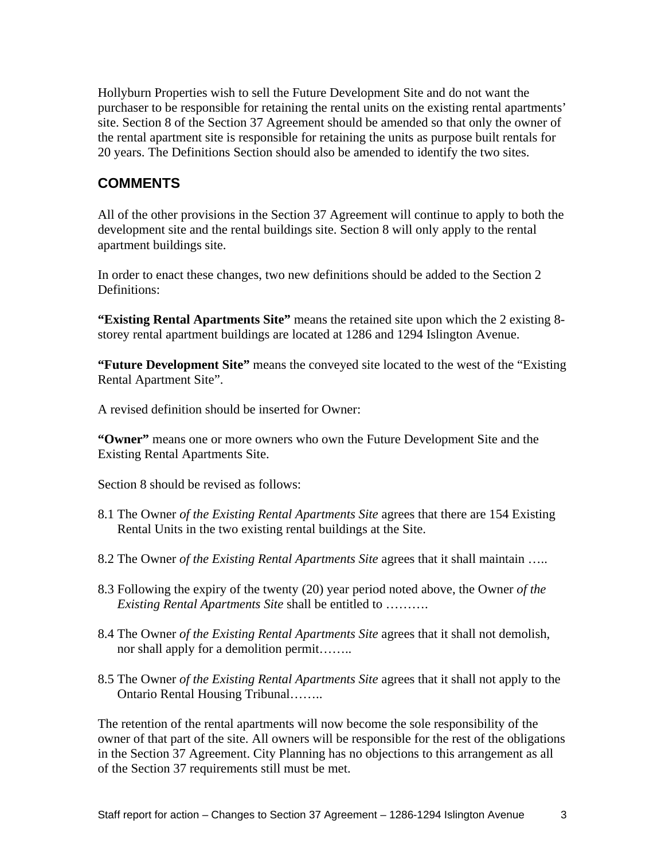Hollyburn Properties wish to sell the Future Development Site and do not want the purchaser to be responsible for retaining the rental units on the existing rental apartments' site. Section 8 of the Section 37 Agreement should be amended so that only the owner of the rental apartment site is responsible for retaining the units as purpose built rentals for 20 years. The Definitions Section should also be amended to identify the two sites.

#### **COMMENTS**

All of the other provisions in the Section 37 Agreement will continue to apply to both the development site and the rental buildings site. Section 8 will only apply to the rental apartment buildings site.

In order to enact these changes, two new definitions should be added to the Section 2 Definitions:

**"Existing Rental Apartments Site"** means the retained site upon which the 2 existing 8 storey rental apartment buildings are located at 1286 and 1294 Islington Avenue.

**"Future Development Site"** means the conveyed site located to the west of the "Existing Rental Apartment Site".

A revised definition should be inserted for Owner:

**"Owner"** means one or more owners who own the Future Development Site and the Existing Rental Apartments Site.

Section 8 should be revised as follows:

- 8.1 The Owner *of the Existing Rental Apartments Site* agrees that there are 154 Existing Rental Units in the two existing rental buildings at the Site.
- 8.2 The Owner *of the Existing Rental Apartments Site* agrees that it shall maintain …..
- 8.3 Following the expiry of the twenty (20) year period noted above, the Owner *of the Existing Rental Apartments Site* shall be entitled to ……….
- 8.4 The Owner *of the Existing Rental Apartments Site* agrees that it shall not demolish, nor shall apply for a demolition permit……..
- 8.5 The Owner *of the Existing Rental Apartments Site* agrees that it shall not apply to the Ontario Rental Housing Tribunal……..

The retention of the rental apartments will now become the sole responsibility of the owner of that part of the site. All owners will be responsible for the rest of the obligations in the Section 37 Agreement. City Planning has no objections to this arrangement as all of the Section 37 requirements still must be met.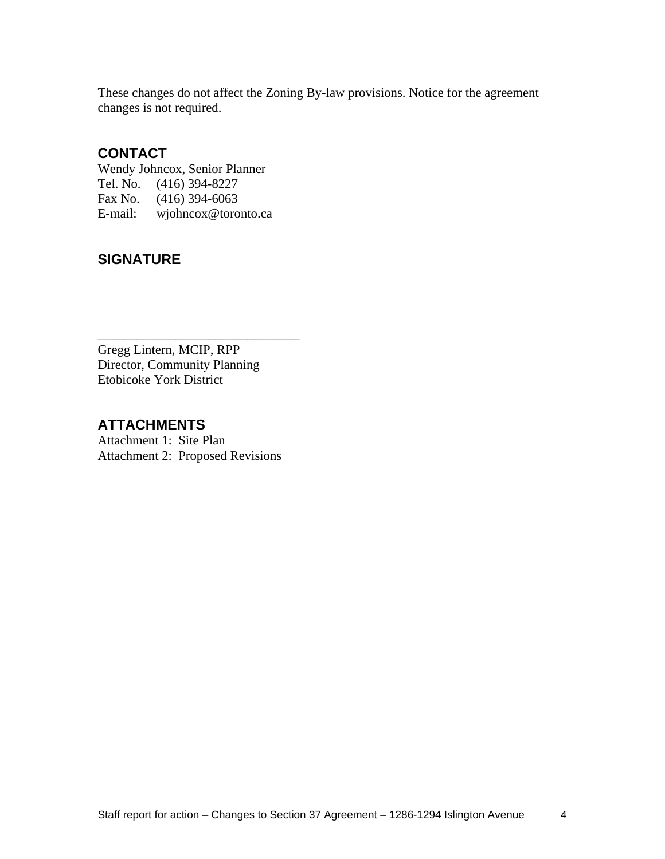These changes do not affect the Zoning By-law provisions. Notice for the agreement changes is not required.

#### **CONTACT**

Wendy Johncox, Senior Planner Tel. No. (416) 394-8227 Fax No. (416) 394-6063 E-mail: wjohncox@toronto.ca

### **SIGNATURE**

 $\overline{\phantom{a}}$  , we can assume that the contract of  $\overline{\phantom{a}}$  , we can assume that the contract of  $\overline{\phantom{a}}$ Gregg Lintern, MCIP, RPP Director, Community Planning Etobicoke York District

## **ATTACHMENTS**

Attachment 1: Site Plan Attachment 2: Proposed Revisions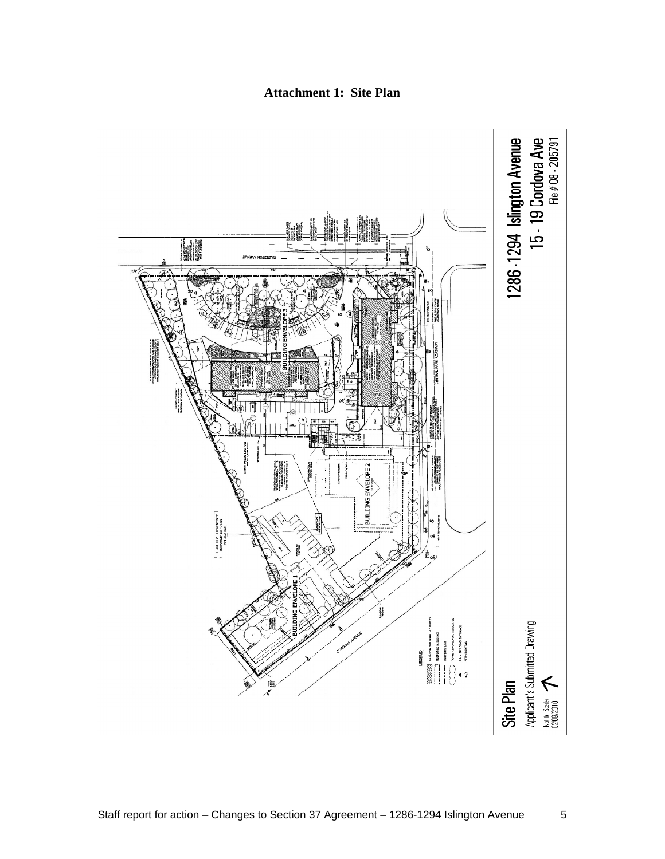